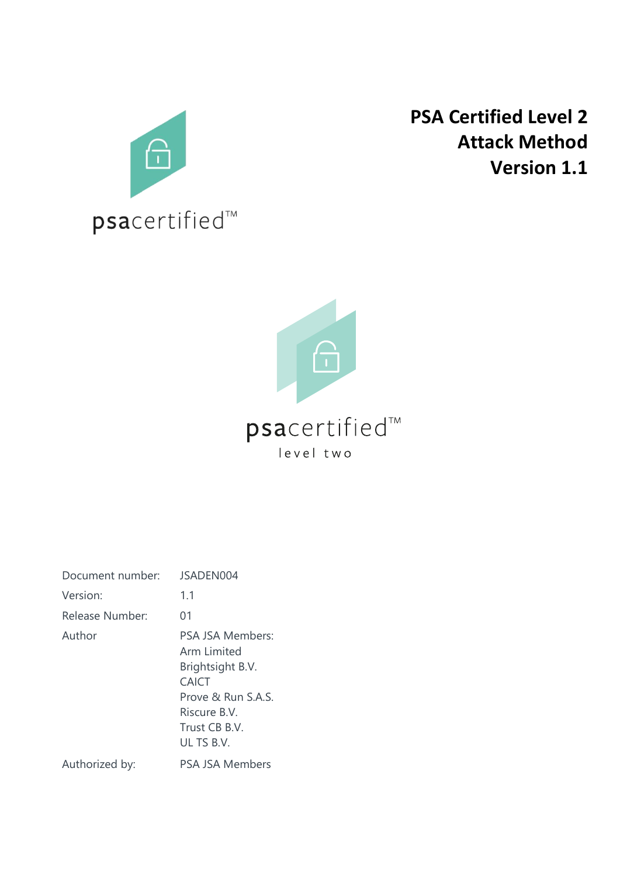

# **PSA Certified Level 2 Attack Method Version 1.1**



| Document number: | JSADEN004                                                                                                                                |
|------------------|------------------------------------------------------------------------------------------------------------------------------------------|
| Version:         | 1.1                                                                                                                                      |
| Release Number:  | 01                                                                                                                                       |
| Author           | PSA JSA Members:<br>Arm Limited<br>Brightsight B.V.<br><b>CAICT</b><br>Prove & Run S.A.S.<br>Riscure B.V.<br>Trust CB B.V.<br>UL TS B.V. |
| Authorized by:   | <b>PSA JSA Members</b>                                                                                                                   |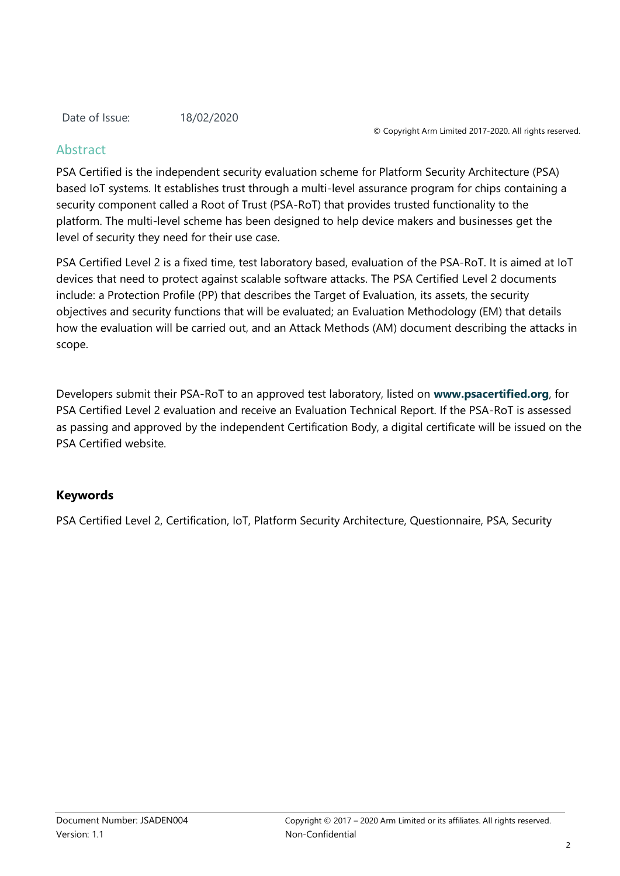Date of Issue: 18/02/2020

# Abstract

PSA Certified is the independent security evaluation scheme for Platform Security Architecture (PSA) based IoT systems. It establishes trust through a multi-level assurance program for chips containing a security component called a Root of Trust (PSA-RoT) that provides trusted functionality to the platform. The multi-level scheme has been designed to help device makers and businesses get the level of security they need for their use case.

PSA Certified Level 2 is a fixed time, test laboratory based, evaluation of the PSA-RoT. It is aimed at IoT devices that need to protect against scalable software attacks. The PSA Certified Level 2 documents include: a Protection Profile (PP) that describes the Target of Evaluation, its assets, the security objectives and security functions that will be evaluated; an Evaluation Methodology (EM) that details how the evaluation will be carried out, and an Attack Methods (AM) document describing the attacks in scope.

Developers submit their PSA-RoT to an approved test laboratory, listed on **[www.psacertified.org](http://www.psacertified.org/)**, for PSA Certified Level 2 evaluation and receive an Evaluation Technical Report. If the PSA-RoT is assessed as passing and approved by the independent Certification Body, a digital certificate will be issued on the PSA Certified website.

# **Keywords**

PSA Certified Level 2, Certification, IoT, Platform Security Architecture, Questionnaire, PSA, Security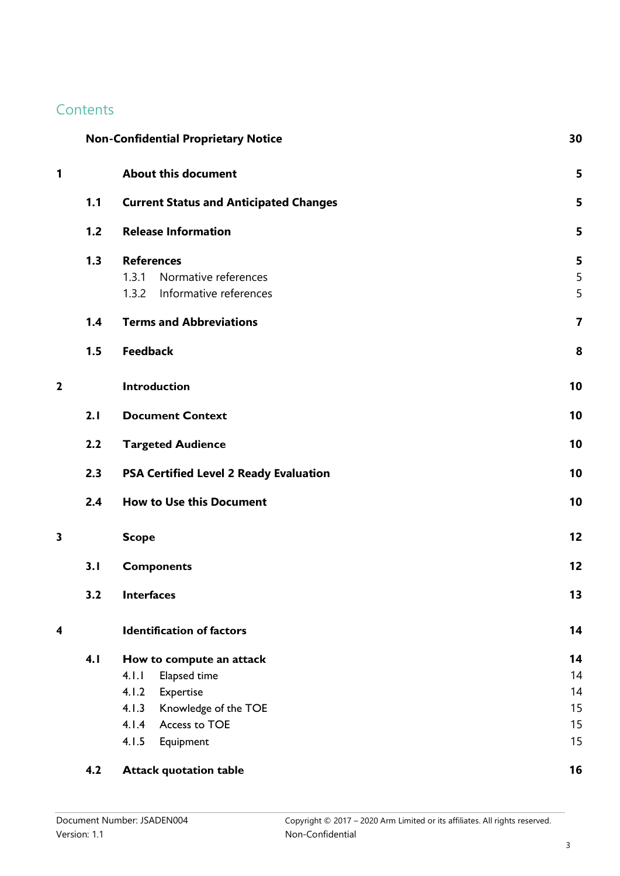# **Contents**

|              | <b>Non-Confidential Proprietary Notice</b> |                                               | 30             |
|--------------|--------------------------------------------|-----------------------------------------------|----------------|
| 1            |                                            | <b>About this document</b>                    | 5              |
|              | 1.1                                        | <b>Current Status and Anticipated Changes</b> | 5              |
|              | 1.2                                        | <b>Release Information</b>                    | 5              |
|              | 1.3                                        | <b>References</b>                             | 5              |
|              |                                            | Normative references<br>1.3.1                 | 5              |
|              |                                            | Informative references<br>1.3.2               | 5              |
|              | 1.4                                        | <b>Terms and Abbreviations</b>                | $\overline{7}$ |
|              | 1.5                                        | <b>Feedback</b>                               | 8              |
| $\mathbf{2}$ |                                            | <b>Introduction</b>                           | 10             |
|              | 2.1                                        | <b>Document Context</b>                       | 10             |
|              | 2.2                                        | <b>Targeted Audience</b>                      | 10             |
|              | 2.3                                        | <b>PSA Certified Level 2 Ready Evaluation</b> | 10             |
|              | 2.4                                        | <b>How to Use this Document</b>               | 10             |
| 3            |                                            | <b>Scope</b>                                  | 12             |
|              | 3.1                                        | <b>Components</b>                             | 12             |
|              | 3.2                                        | <b>Interfaces</b>                             | 13             |
| 4            |                                            | <b>Identification of factors</b>              | 14             |
|              | 4.1                                        | How to compute an attack                      | 14             |
|              |                                            | 4.1.1<br>Elapsed time                         | 14             |
|              |                                            | 4.1.2<br>Expertise                            | 14             |
|              |                                            | Knowledge of the TOE<br>4.1.3                 | 15             |
|              |                                            | 4.1.4<br>Access to TOE                        | 15             |
|              |                                            | 4.1.5<br>Equipment                            | 15             |
|              | 4.2                                        | <b>Attack quotation table</b>                 | 16             |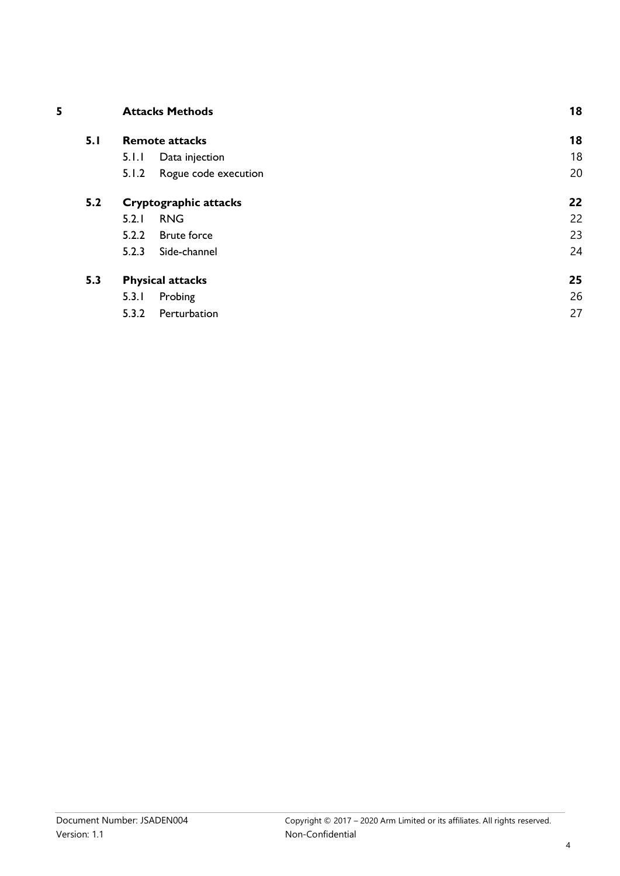| 5   |     | <b>Attacks Methods</b> |                         | 18 |
|-----|-----|------------------------|-------------------------|----|
| 5.1 |     | <b>Remote attacks</b>  |                         | 18 |
|     |     | 5.1.1                  | Data injection          | 18 |
|     |     | 5.1.2                  | Rogue code execution    | 20 |
|     | 5.2 |                        | Cryptographic attacks   | 22 |
|     |     | 5.2.1                  | <b>RNG</b>              | 22 |
|     |     | 5.2.2                  | <b>Brute force</b>      | 23 |
|     |     | 5.2.3                  | Side-channel            | 24 |
|     | 5.3 |                        | <b>Physical attacks</b> | 25 |
|     |     | 5.3.1                  | Probing                 | 26 |
|     |     | 5.3.2                  | Perturbation            | 27 |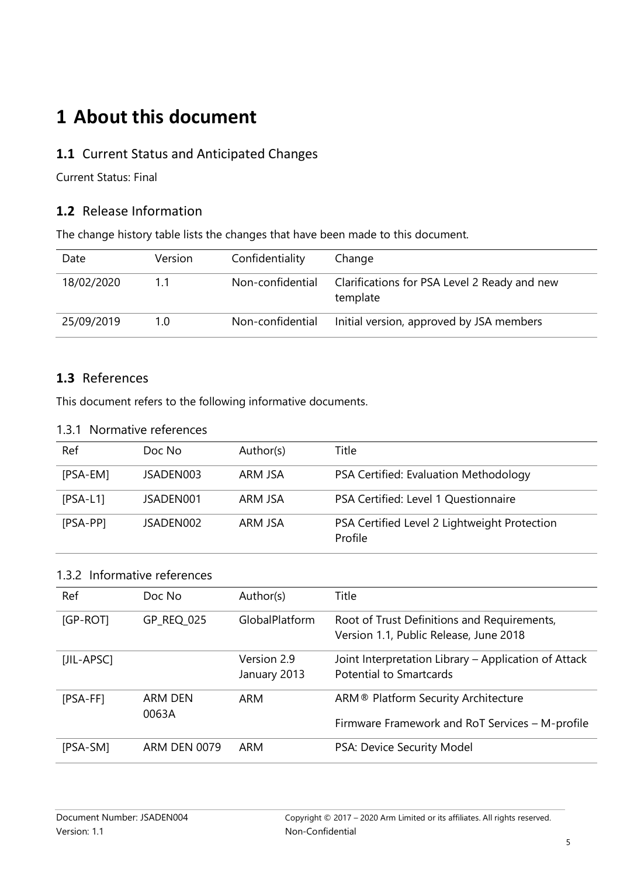# **1 About this document**

# **1.1** Current Status and Anticipated Changes

Current Status: Final

# **1.2** Release Information

The change history table lists the changes that have been made to this document.

| Date       | Version | Confidentiality  | Change                                                   |
|------------|---------|------------------|----------------------------------------------------------|
| 18/02/2020 | 11      | Non-confidential | Clarifications for PSA Level 2 Ready and new<br>template |
| 25/09/2019 | 1.0     | Non-confidential | Initial version, approved by JSA members                 |

# **1.3** References

This document refers to the following informative documents.

# 1.3.1 Normative references

| Ref        | Doc No    | Author(s) | Title                                                   |
|------------|-----------|-----------|---------------------------------------------------------|
| [PSA-EM]   | JSADEN003 | ARM JSA   | PSA Certified: Evaluation Methodology                   |
| $[PSA-L1]$ | JSADEN001 | ARM JSA   | PSA Certified: Level 1 Questionnaire                    |
| $[PSA-PP]$ | JSADEN002 | ARM JSA   | PSA Certified Level 2 Lightweight Protection<br>Profile |

# 1.3.2 Informative references

| Ref        | Doc No              | Author(s)                   | Title                                                                                              |
|------------|---------------------|-----------------------------|----------------------------------------------------------------------------------------------------|
| [GP-ROT]   | GP REQ 025          | GlobalPlatform              | Root of Trust Definitions and Requirements,<br>Version 1.1, Public Release, June 2018              |
| [JIL-APSC] |                     | Version 2.9<br>January 2013 | Joint Interpretation Library - Application of Attack<br><b>Potential to Smartcards</b>             |
| $[PSA-FF]$ | ARM DEN<br>0063A    | <b>ARM</b>                  | ARM <sup>®</sup> Platform Security Architecture<br>Firmware Framework and RoT Services - M-profile |
| [PSA-SM]   | <b>ARM DEN 0079</b> | <b>ARM</b>                  | PSA: Device Security Model                                                                         |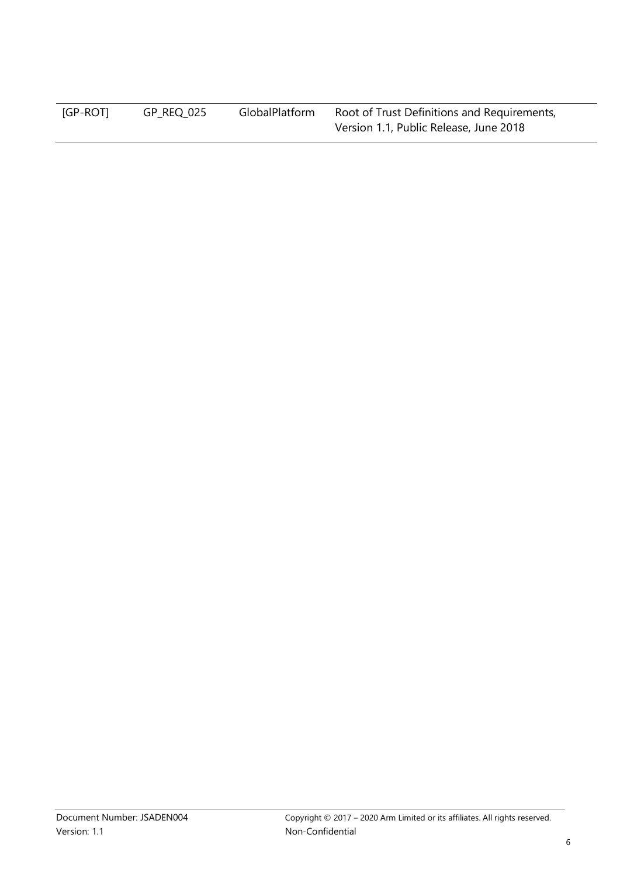| [GP-ROT] | GP REQ 025 | GlobalPlatform | Root of Trust Definitions and Requirements, |
|----------|------------|----------------|---------------------------------------------|
|          |            |                | Version 1.1, Public Release, June 2018      |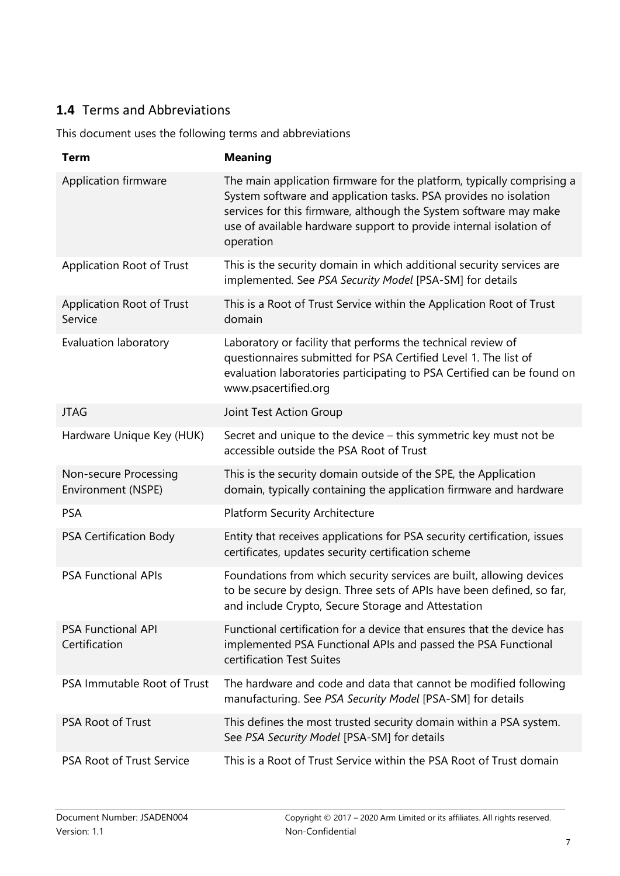# **1.4** Terms and Abbreviations

This document uses the following terms and abbreviations

| <b>Term</b>                                 | <b>Meaning</b>                                                                                                                                                                                                                                                                                     |
|---------------------------------------------|----------------------------------------------------------------------------------------------------------------------------------------------------------------------------------------------------------------------------------------------------------------------------------------------------|
| Application firmware                        | The main application firmware for the platform, typically comprising a<br>System software and application tasks. PSA provides no isolation<br>services for this firmware, although the System software may make<br>use of available hardware support to provide internal isolation of<br>operation |
| Application Root of Trust                   | This is the security domain in which additional security services are<br>implemented. See PSA Security Model [PSA-SM] for details                                                                                                                                                                  |
| <b>Application Root of Trust</b><br>Service | This is a Root of Trust Service within the Application Root of Trust<br>domain                                                                                                                                                                                                                     |
| <b>Evaluation laboratory</b>                | Laboratory or facility that performs the technical review of<br>questionnaires submitted for PSA Certified Level 1. The list of<br>evaluation laboratories participating to PSA Certified can be found on<br>www.psacertified.org                                                                  |
| <b>JTAG</b>                                 | Joint Test Action Group                                                                                                                                                                                                                                                                            |
| Hardware Unique Key (HUK)                   | Secret and unique to the device - this symmetric key must not be<br>accessible outside the PSA Root of Trust                                                                                                                                                                                       |
| Non-secure Processing<br>Environment (NSPE) | This is the security domain outside of the SPE, the Application<br>domain, typically containing the application firmware and hardware                                                                                                                                                              |
| <b>PSA</b>                                  | <b>Platform Security Architecture</b>                                                                                                                                                                                                                                                              |
| <b>PSA Certification Body</b>               | Entity that receives applications for PSA security certification, issues<br>certificates, updates security certification scheme                                                                                                                                                                    |
| <b>PSA Functional APIs</b>                  | Foundations from which security services are built, allowing devices<br>to be secure by design. Three sets of APIs have been defined, so far,<br>and include Crypto, Secure Storage and Attestation                                                                                                |
| <b>PSA Functional API</b><br>Certification  | Functional certification for a device that ensures that the device has<br>implemented PSA Functional APIs and passed the PSA Functional<br>certification Test Suites                                                                                                                               |
| PSA Immutable Root of Trust                 | The hardware and code and data that cannot be modified following<br>manufacturing. See PSA Security Model [PSA-SM] for details                                                                                                                                                                     |
| <b>PSA Root of Trust</b>                    | This defines the most trusted security domain within a PSA system.<br>See PSA Security Model [PSA-SM] for details                                                                                                                                                                                  |
| PSA Root of Trust Service                   | This is a Root of Trust Service within the PSA Root of Trust domain                                                                                                                                                                                                                                |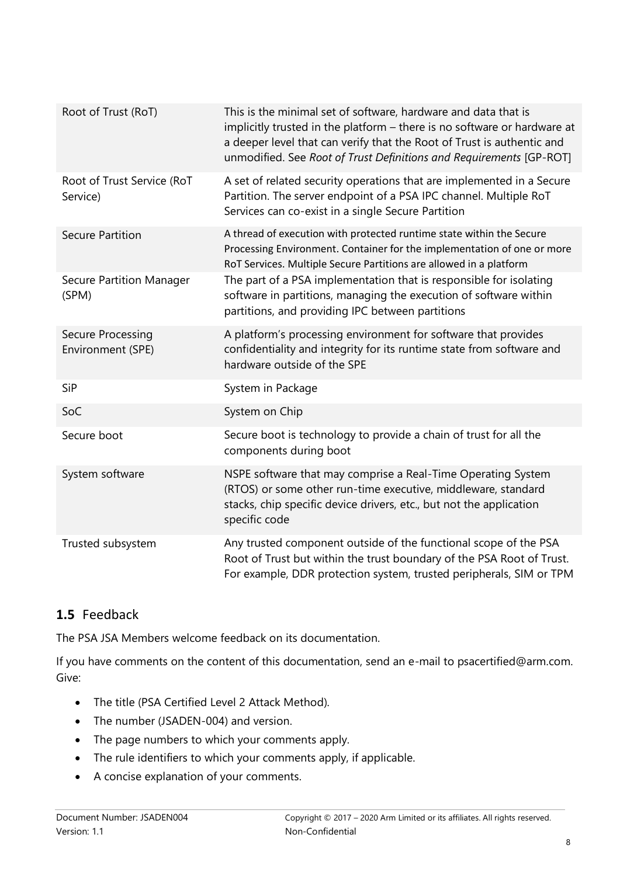| Root of Trust (RoT)                      | This is the minimal set of software, hardware and data that is<br>implicitly trusted in the platform - there is no software or hardware at<br>a deeper level that can verify that the Root of Trust is authentic and<br>unmodified. See Root of Trust Definitions and Requirements [GP-ROT] |
|------------------------------------------|---------------------------------------------------------------------------------------------------------------------------------------------------------------------------------------------------------------------------------------------------------------------------------------------|
| Root of Trust Service (RoT<br>Service)   | A set of related security operations that are implemented in a Secure<br>Partition. The server endpoint of a PSA IPC channel. Multiple RoT<br>Services can co-exist in a single Secure Partition                                                                                            |
| <b>Secure Partition</b>                  | A thread of execution with protected runtime state within the Secure<br>Processing Environment. Container for the implementation of one or more<br>RoT Services. Multiple Secure Partitions are allowed in a platform                                                                       |
| <b>Secure Partition Manager</b><br>(SPM) | The part of a PSA implementation that is responsible for isolating<br>software in partitions, managing the execution of software within<br>partitions, and providing IPC between partitions                                                                                                 |
| Secure Processing<br>Environment (SPE)   | A platform's processing environment for software that provides<br>confidentiality and integrity for its runtime state from software and<br>hardware outside of the SPE                                                                                                                      |
| SiP                                      | System in Package                                                                                                                                                                                                                                                                           |
| SoC                                      | System on Chip                                                                                                                                                                                                                                                                              |
| Secure boot                              | Secure boot is technology to provide a chain of trust for all the<br>components during boot                                                                                                                                                                                                 |
| System software                          | NSPE software that may comprise a Real-Time Operating System<br>(RTOS) or some other run-time executive, middleware, standard<br>stacks, chip specific device drivers, etc., but not the application<br>specific code                                                                       |
| Trusted subsystem                        | Any trusted component outside of the functional scope of the PSA<br>Root of Trust but within the trust boundary of the PSA Root of Trust.<br>For example, DDR protection system, trusted peripherals, SIM or TPM                                                                            |

# **1.5** Feedback

The PSA JSA Members welcome feedback on its documentation.

If you have comments on the content of this documentation, send an e-mail to psacertified@arm.com. Give:

- The title (PSA Certified Level 2 Attack Method).
- The number (JSADEN-004) and version.
- The page numbers to which your comments apply.
- The rule identifiers to which your comments apply, if applicable.
- A concise explanation of your comments.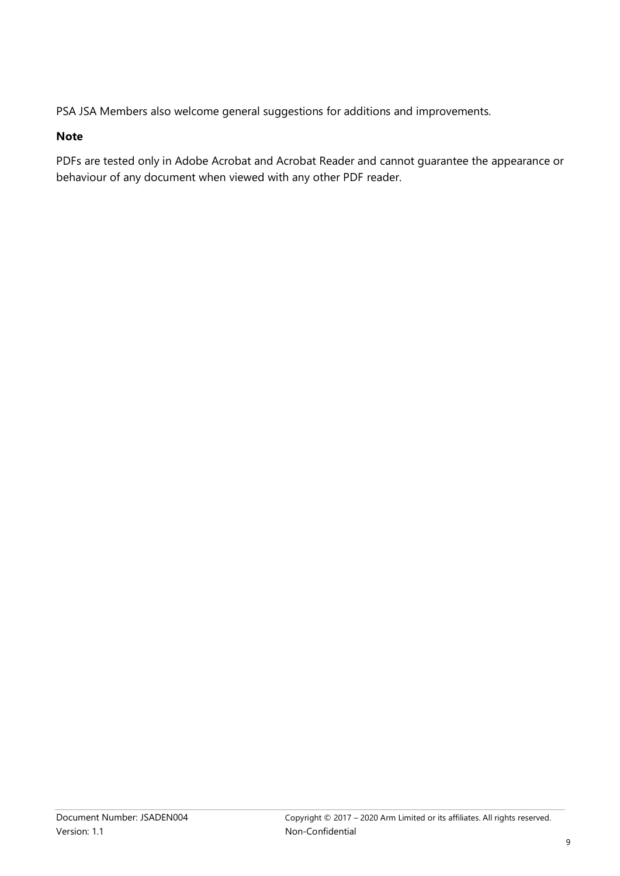PSA JSA Members also welcome general suggestions for additions and improvements.

# **Note**

PDFs are tested only in Adobe Acrobat and Acrobat Reader and cannot guarantee the appearance or behaviour of any document when viewed with any other PDF reader.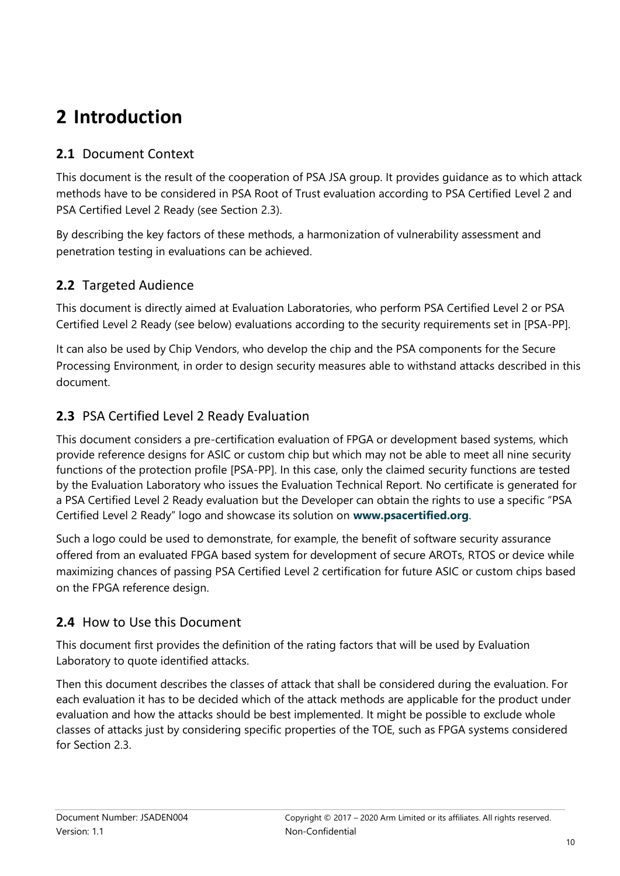# **2 Introduction**

# **2.1** Document Context

This document is the result of the cooperation of PSA JSA group. It provides guidance as to which attack methods have to be considered in PSA Root of Trust evaluation according to PSA Certified Level 2 and PSA Certified Level 2 Ready (see Section [2.3\)](#page-9-0).

By describing the key factors of these methods, a harmonization of vulnerability assessment and penetration testing in evaluations can be achieved.

# **2.2** Targeted Audience

This document is directly aimed at Evaluation Laboratories, who perform PSA Certified Level 2 or PSA Certified Level 2 Ready (see below) evaluations according to the security requirements set in [PSA-PP].

It can also be used by Chip Vendors, who develop the chip and the PSA components for the Secure Processing Environment, in order to design security measures able to withstand attacks described in this document.

# <span id="page-9-0"></span>**2.3** PSA Certified Level 2 Ready Evaluation

This document considers a pre-certification evaluation of FPGA or development based systems, which provide reference designs for ASIC or custom chip but which may not be able to meet all nine security functions of the protection profile [PSA-PP]. In this case, only the claimed security functions are tested by the Evaluation Laboratory who issues the Evaluation Technical Report. No certificate is generated for a PSA Certified Level 2 Ready evaluation but the Developer can obtain the rights to use a specific "PSA Certified Level 2 Ready" logo and showcase its solution on **[www.psacertified.org](http://www.psacertified.org/)**.

Such a logo could be used to demonstrate, for example, the benefit of software security assurance offered from an evaluated FPGA based system for development of secure AROTs, RTOS or device while maximizing chances of passing PSA Certified Level 2 certification for future ASIC or custom chips based on the FPGA reference design.

# **2.4** How to Use this Document

This document first provides the definition of the rating factors that will be used by Evaluation Laboratory to quote identified attacks.

Then this document describes the classes of attack that shall be considered during the evaluation. For each evaluation it has to be decided which of the attack methods are applicable for the product under evaluation and how the attacks should be best implemented. It might be possible to exclude whole classes of attacks just by considering specific properties of the TOE, such as FPGA systems considered for Section [2.3.](#page-9-0)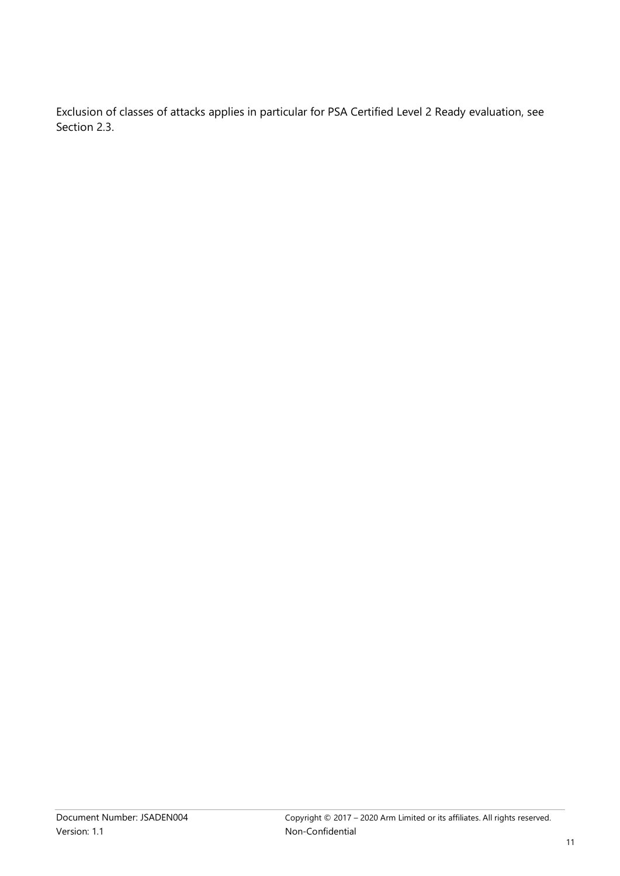Exclusion of classes of attacks applies in particular for PSA Certified Level 2 Ready evaluation, see Section [2.3.](#page-9-0)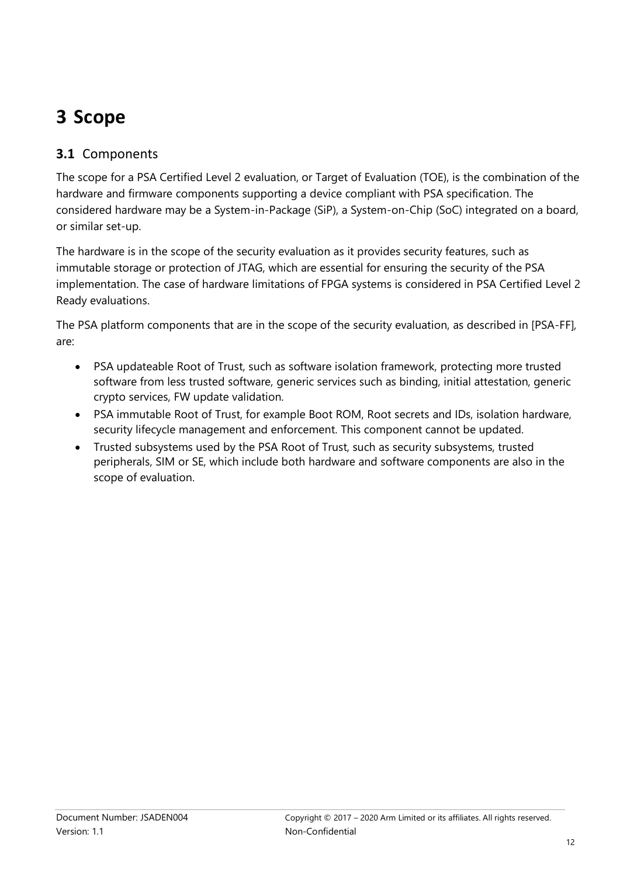# **3 Scope**

# **3.1** Components

The scope for a PSA Certified Level 2 evaluation, or Target of Evaluation (TOE), is the combination of the hardware and firmware components supporting a device compliant with PSA specification. The considered hardware may be a System-in-Package (SiP), a System-on-Chip (SoC) integrated on a board, or similar set-up.

The hardware is in the scope of the security evaluation as it provides security features, such as immutable storage or protection of JTAG, which are essential for ensuring the security of the PSA implementation. The case of hardware limitations of FPGA systems is considered in PSA Certified Level 2 Ready evaluations.

The PSA platform components that are in the scope of the security evaluation, as described in [PSA-FF], are:

- PSA updateable Root of Trust, such as software isolation framework, protecting more trusted software from less trusted software, generic services such as binding, initial attestation, generic crypto services, FW update validation.
- PSA immutable Root of Trust, for example Boot ROM, Root secrets and IDs, isolation hardware, security lifecycle management and enforcement. This component cannot be updated.
- Trusted subsystems used by the PSA Root of Trust, such as security subsystems, trusted peripherals, SIM or SE, which include both hardware and software components are also in the scope of evaluation.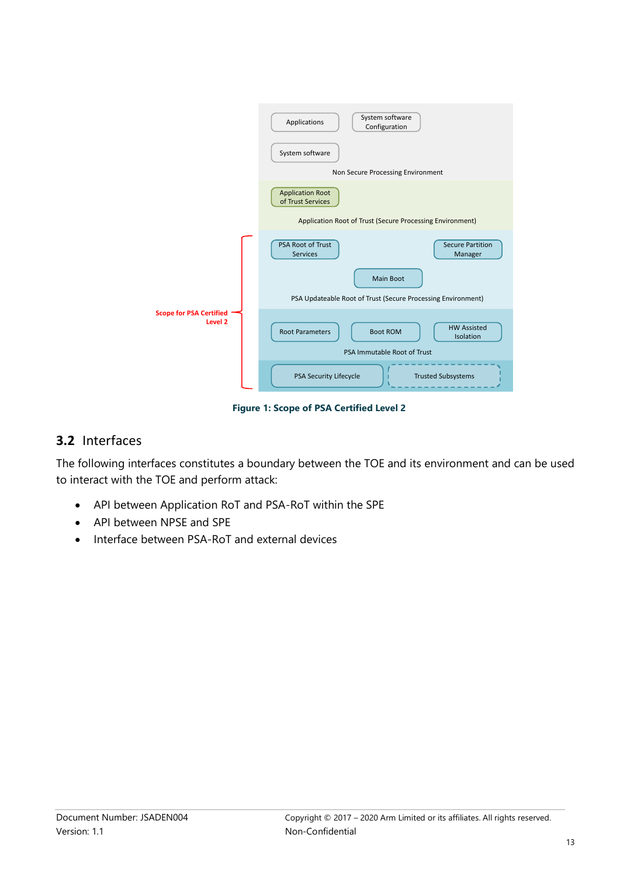|                                           | System software<br>Applications<br>Configuration                                                            |
|-------------------------------------------|-------------------------------------------------------------------------------------------------------------|
|                                           | System software<br>Non Secure Processing Environment                                                        |
|                                           | <b>Application Root</b><br>of Trust Services                                                                |
|                                           | Application Root of Trust (Secure Processing Environment)                                                   |
|                                           | <b>PSA Root of Trust</b><br><b>Secure Partition</b><br>Services<br>Manager                                  |
|                                           | Main Boot<br>PSA Updateable Root of Trust (Secure Processing Environment)                                   |
| <b>Scope for PSA Certified</b><br>Level 2 | <b>HW Assisted</b><br><b>Root Parameters</b><br><b>Boot ROM</b><br>Isolation<br>PSA Immutable Root of Trust |
|                                           | PSA Security Lifecycle<br><b>Trusted Subsystems</b>                                                         |

**Figure 1: Scope of PSA Certified Level 2**

# **3.2** Interfaces

The following interfaces constitutes a boundary between the TOE and its environment and can be used to interact with the TOE and perform attack:

- API between Application RoT and PSA-RoT within the SPE
- API between NPSE and SPE
- Interface between PSA-RoT and external devices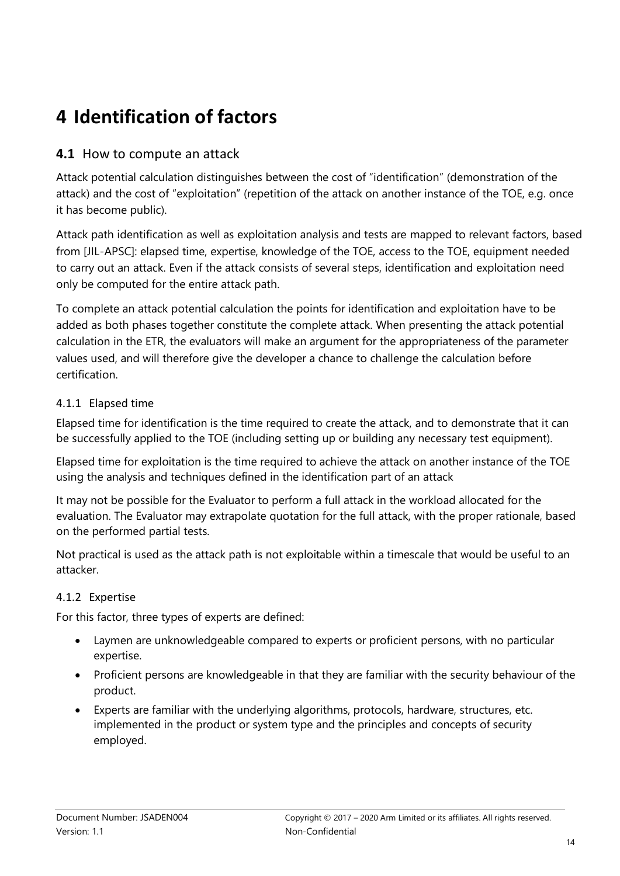# **4 Identification of factors**

# **4.1** How to compute an attack

Attack potential calculation distinguishes between the cost of "identification" (demonstration of the attack) and the cost of "exploitation" (repetition of the attack on another instance of the TOE, e.g. once it has become public).

Attack path identification as well as exploitation analysis and tests are mapped to relevant factors, based from [JIL-APSC]: elapsed time, expertise, knowledge of the TOE, access to the TOE, equipment needed to carry out an attack. Even if the attack consists of several steps, identification and exploitation need only be computed for the entire attack path.

To complete an attack potential calculation the points for identification and exploitation have to be added as both phases together constitute the complete attack. When presenting the attack potential calculation in the ETR, the evaluators will make an argument for the appropriateness of the parameter values used, and will therefore give the developer a chance to challenge the calculation before certification.

# 4.1.1 Elapsed time

Elapsed time for identification is the time required to create the attack, and to demonstrate that it can be successfully applied to the TOE (including setting up or building any necessary test equipment).

Elapsed time for exploitation is the time required to achieve the attack on another instance of the TOE using the analysis and techniques defined in the identification part of an attack

It may not be possible for the Evaluator to perform a full attack in the workload allocated for the evaluation. The Evaluator may extrapolate quotation for the full attack, with the proper rationale, based on the performed partial tests.

Not practical is used as the attack path is not exploitable within a timescale that would be useful to an attacker.

# 4.1.2 Expertise

For this factor, three types of experts are defined:

- Laymen are unknowledgeable compared to experts or proficient persons, with no particular expertise.
- Proficient persons are knowledgeable in that they are familiar with the security behaviour of the product.
- Experts are familiar with the underlying algorithms, protocols, hardware, structures, etc. implemented in the product or system type and the principles and concepts of security employed.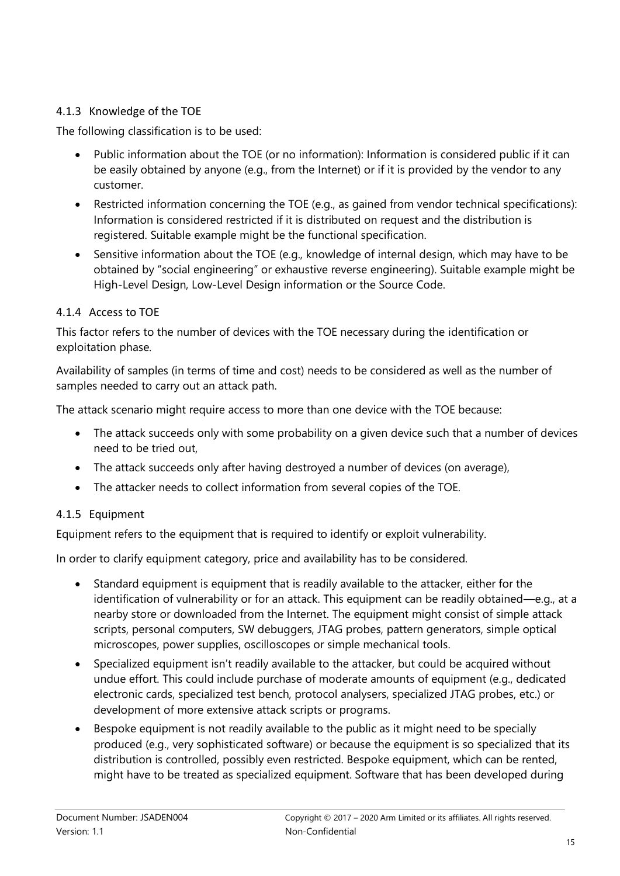# 4.1.3 Knowledge of the TOE

The following classification is to be used:

- Public information about the TOE (or no information): Information is considered public if it can be easily obtained by anyone (e.g., from the Internet) or if it is provided by the vendor to any customer.
- Restricted information concerning the TOE (e.g., as gained from vendor technical specifications): Information is considered restricted if it is distributed on request and the distribution is registered. Suitable example might be the functional specification.
- Sensitive information about the TOE (e.g., knowledge of internal design, which may have to be obtained by "social engineering" or exhaustive reverse engineering). Suitable example might be High-Level Design, Low-Level Design information or the Source Code.

# 4.1.4 Access to TOE

This factor refers to the number of devices with the TOE necessary during the identification or exploitation phase.

Availability of samples (in terms of time and cost) needs to be considered as well as the number of samples needed to carry out an attack path.

The attack scenario might require access to more than one device with the TOE because:

- The attack succeeds only with some probability on a given device such that a number of devices need to be tried out,
- The attack succeeds only after having destroyed a number of devices (on average),
- The attacker needs to collect information from several copies of the TOE.

# 4.1.5 Equipment

Equipment refers to the equipment that is required to identify or exploit vulnerability.

In order to clarify equipment category, price and availability has to be considered.

- Standard equipment is equipment that is readily available to the attacker, either for the identification of vulnerability or for an attack. This equipment can be readily obtained—e.g., at a nearby store or downloaded from the Internet. The equipment might consist of simple attack scripts, personal computers, SW debuggers, JTAG probes, pattern generators, simple optical microscopes, power supplies, oscilloscopes or simple mechanical tools.
- Specialized equipment isn't readily available to the attacker, but could be acquired without undue effort. This could include purchase of moderate amounts of equipment (e.g., dedicated electronic cards, specialized test bench, protocol analysers, specialized JTAG probes, etc.) or development of more extensive attack scripts or programs.
- Bespoke equipment is not readily available to the public as it might need to be specially produced (e.g., very sophisticated software) or because the equipment is so specialized that its distribution is controlled, possibly even restricted. Bespoke equipment, which can be rented, might have to be treated as specialized equipment. Software that has been developed during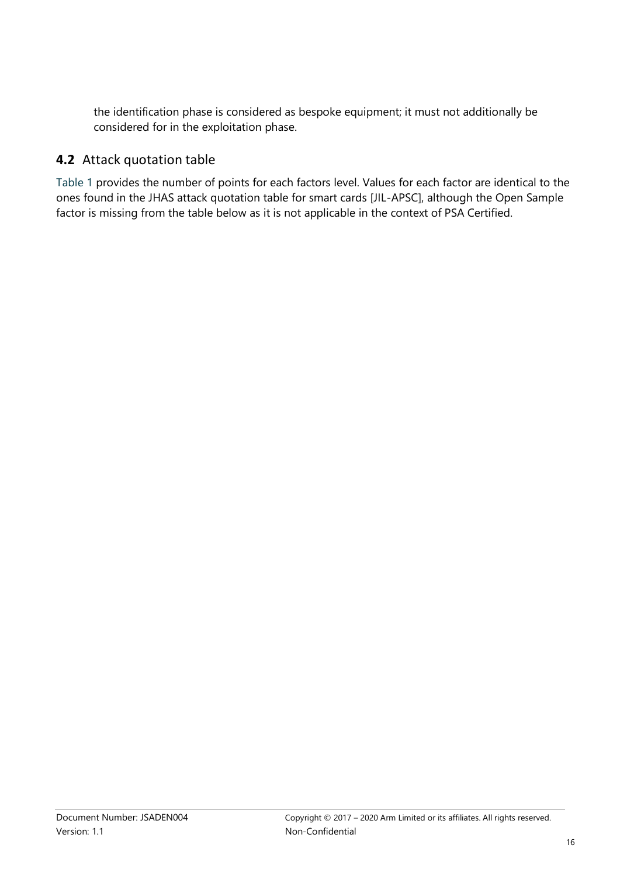the identification phase is considered as bespoke equipment; it must not additionally be considered for in the exploitation phase.

# **4.2** Attack quotation table

[Table 1](#page-16-0) provides the number of points for each factors level. Values for each factor are identical to the ones found in the JHAS attack quotation table for smart cards [JIL-APSC], although the Open Sample factor is missing from the table below as it is not applicable in the context of PSA Certified.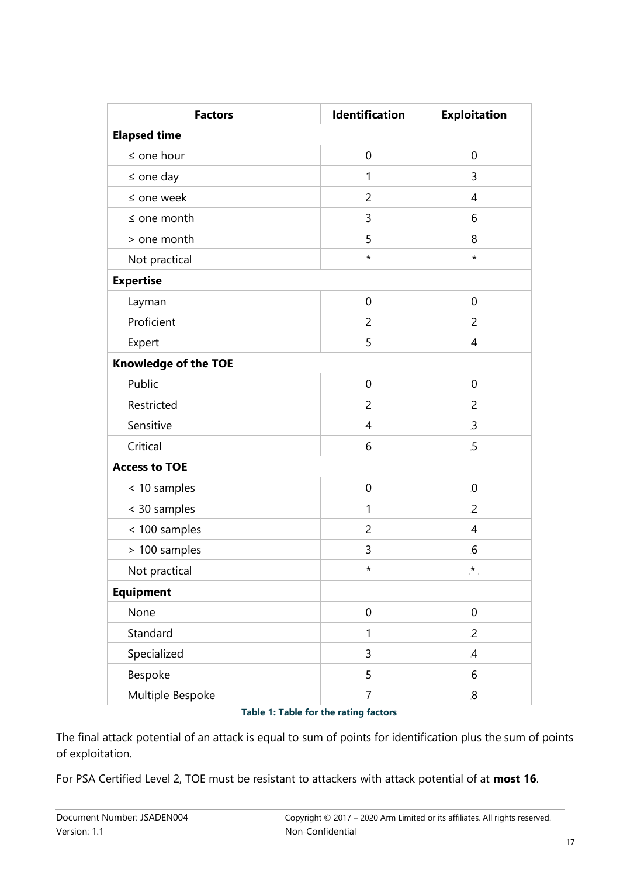| <b>Factors</b>              | <b>Identification</b> | <b>Exploitation</b> |  |  |  |
|-----------------------------|-----------------------|---------------------|--|--|--|
| <b>Elapsed time</b>         |                       |                     |  |  |  |
| $\leq$ one hour             | 0                     | $\mathbf 0$         |  |  |  |
| $\le$ one day               | 1                     | 3                   |  |  |  |
| $\le$ one week              | 2                     | 4                   |  |  |  |
| $\le$ one month             | 3                     | 6                   |  |  |  |
| > one month                 | 5                     | 8                   |  |  |  |
| Not practical               | $^\star$              | $^\star$            |  |  |  |
| <b>Expertise</b>            |                       |                     |  |  |  |
| Layman                      | 0                     | $\mathbf 0$         |  |  |  |
| Proficient                  | $\overline{c}$        | 2                   |  |  |  |
| Expert                      | 5                     | $\overline{4}$      |  |  |  |
| <b>Knowledge of the TOE</b> |                       |                     |  |  |  |
| Public                      | 0                     | $\mathbf 0$         |  |  |  |
| Restricted                  | $\overline{2}$        | $\overline{2}$      |  |  |  |
| Sensitive                   | 4                     | $\mathbf{3}$        |  |  |  |
| Critical                    | 6                     | $\overline{5}$      |  |  |  |
| <b>Access to TOE</b>        |                       |                     |  |  |  |
| < 10 samples                | 0                     | $\Omega$            |  |  |  |
| < 30 samples                | 1                     | $\overline{2}$      |  |  |  |
| < 100 samples               | $\overline{2}$        | $\overline{4}$      |  |  |  |
| > 100 samples               | 3                     | 6                   |  |  |  |
| Not practical               | *                     | $\star$             |  |  |  |
| <b>Equipment</b>            |                       |                     |  |  |  |
| None                        | $\boldsymbol{0}$      | $\boldsymbol{0}$    |  |  |  |
| Standard                    | 1                     | $\overline{2}$      |  |  |  |
| Specialized                 | 3                     | $\overline{A}$      |  |  |  |
| Bespoke                     | 5                     | 6                   |  |  |  |
| Multiple Bespoke            | $\overline{7}$        | $8\,$               |  |  |  |

## **Table 1: Table for the rating factors**

<span id="page-16-0"></span>The final attack potential of an attack is equal to sum of points for identification plus the sum of points of exploitation.

For PSA Certified Level 2, TOE must be resistant to attackers with attack potential of at **most 16**.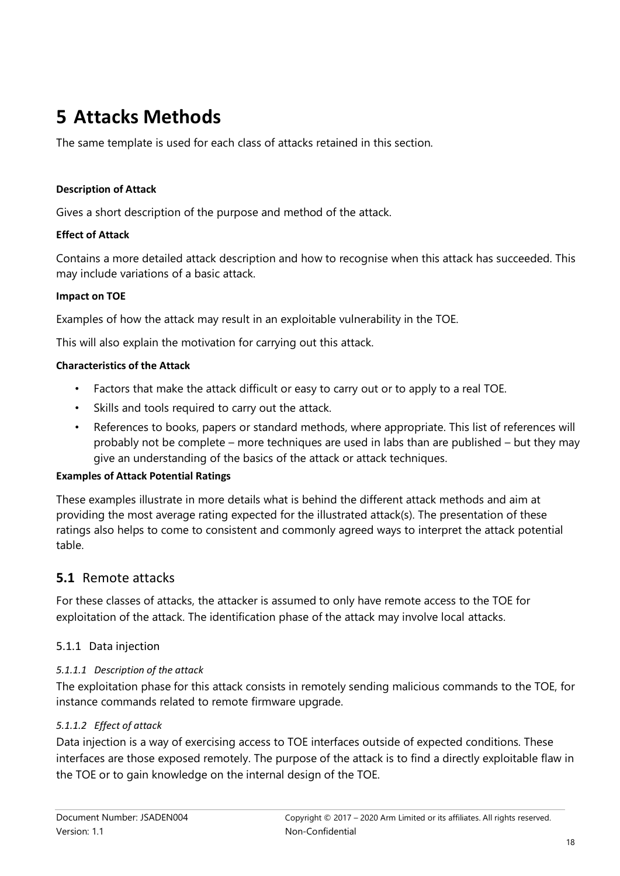# **5 Attacks Methods**

The same template is used for each class of attacks retained in this section.

## **Description of Attack**

Gives a short description of the purpose and method of the attack.

## **Effect of Attack**

Contains a more detailed attack description and how to recognise when this attack has succeeded. This may include variations of a basic attack.

## **Impact on TOE**

Examples of how the attack may result in an exploitable vulnerability in the TOE.

This will also explain the motivation for carrying out this attack.

## **Characteristics of the Attack**

- Factors that make the attack difficult or easy to carry out or to apply to a real TOE.
- Skills and tools required to carry out the attack.
- References to books, papers or standard methods, where appropriate. This list of references will probably not be complete – more techniques are used in labs than are published – but they may give an understanding of the basics of the attack or attack techniques.

## **Examples of Attack Potential Ratings**

These examples illustrate in more details what is behind the different attack methods and aim at providing the most average rating expected for the illustrated attack(s). The presentation of these ratings also helps to come to consistent and commonly agreed ways to interpret the attack potential table.

# **5.1** Remote attacks

For these classes of attacks, the attacker is assumed to only have remote access to the TOE for exploitation of the attack. The identification phase of the attack may involve local attacks.

# 5.1.1 Data injection

## *5.1.1.1 Description of the attack*

The exploitation phase for this attack consists in remotely sending malicious commands to the TOE, for instance commands related to remote firmware upgrade.

## *5.1.1.2 Effect of attack*

Data injection is a way of exercising access to TOE interfaces outside of expected conditions. These interfaces are those exposed remotely. The purpose of the attack is to find a directly exploitable flaw in the TOE or to gain knowledge on the internal design of the TOE.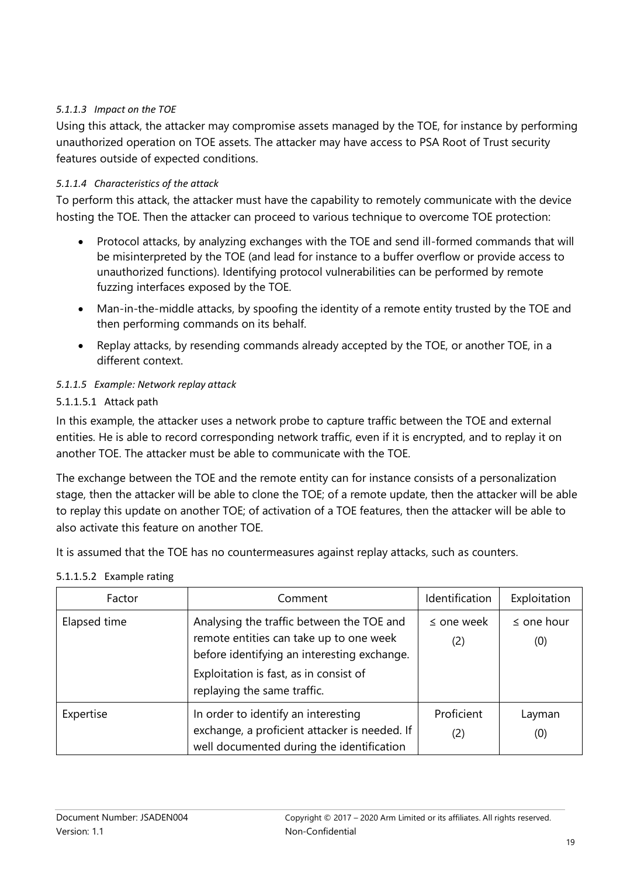## *5.1.1.3 Impact on the TOE*

Using this attack, the attacker may compromise assets managed by the TOE, for instance by performing unauthorized operation on TOE assets. The attacker may have access to PSA Root of Trust security features outside of expected conditions.

## *5.1.1.4 Characteristics of the attack*

To perform this attack, the attacker must have the capability to remotely communicate with the device hosting the TOE. Then the attacker can proceed to various technique to overcome TOE protection:

- Protocol attacks, by analyzing exchanges with the TOE and send ill-formed commands that will be misinterpreted by the TOE (and lead for instance to a buffer overflow or provide access to unauthorized functions). Identifying protocol vulnerabilities can be performed by remote fuzzing interfaces exposed by the TOE.
- Man-in-the-middle attacks, by spoofing the identity of a remote entity trusted by the TOE and then performing commands on its behalf.
- Replay attacks, by resending commands already accepted by the TOE, or another TOE, in a different context.

## *5.1.1.5 Example: Network replay attack*

## 5.1.1.5.1 Attack path

In this example, the attacker uses a network probe to capture traffic between the TOE and external entities. He is able to record corresponding network traffic, even if it is encrypted, and to replay it on another TOE. The attacker must be able to communicate with the TOE.

The exchange between the TOE and the remote entity can for instance consists of a personalization stage, then the attacker will be able to clone the TOE; of a remote update, then the attacker will be able to replay this update on another TOE; of activation of a TOE features, then the attacker will be able to also activate this feature on another TOE.

It is assumed that the TOE has no countermeasures against replay attacks, such as counters.

## 5.1.1.5.2 Example rating

| Factor       | Comment                                                                                                                                                                                                      | Identification         | Exploitation          |
|--------------|--------------------------------------------------------------------------------------------------------------------------------------------------------------------------------------------------------------|------------------------|-----------------------|
| Elapsed time | Analysing the traffic between the TOE and<br>remote entities can take up to one week<br>before identifying an interesting exchange.<br>Exploitation is fast, as in consist of<br>replaying the same traffic. | $\leq$ one week<br>(2) | $\le$ one hour<br>(0) |
| Expertise    | In order to identify an interesting<br>exchange, a proficient attacker is needed. If<br>well documented during the identification                                                                            | Proficient<br>(2)      | Layman<br>(0)         |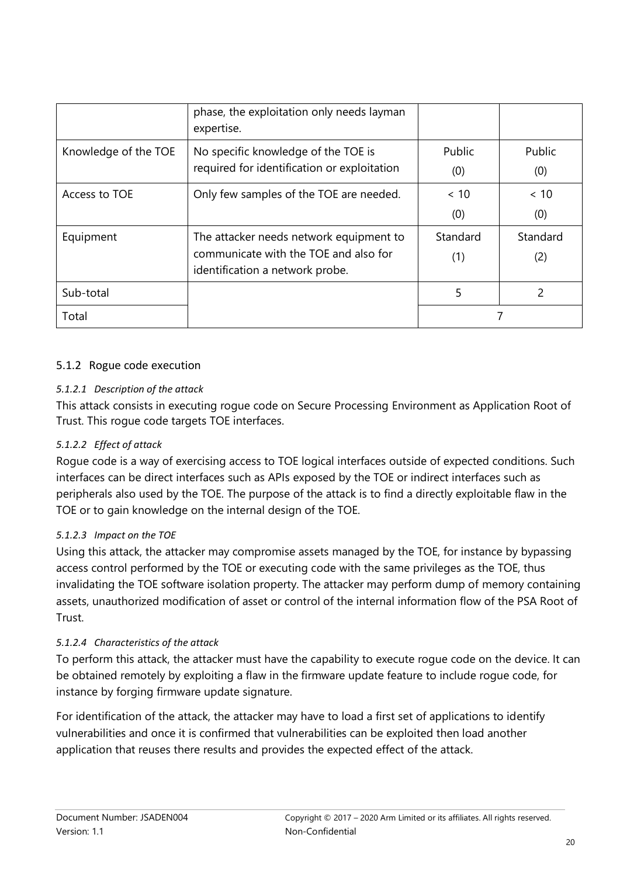|                      | phase, the exploitation only needs layman<br>expertise.                                                             |                 |                 |
|----------------------|---------------------------------------------------------------------------------------------------------------------|-----------------|-----------------|
| Knowledge of the TOE | No specific knowledge of the TOE is<br>required for identification or exploitation                                  | Public<br>(0)   | Public<br>(0)   |
| Access to TOE        | Only few samples of the TOE are needed.                                                                             | < 10<br>(0)     | < 10<br>(0)     |
| Equipment            | The attacker needs network equipment to<br>communicate with the TOE and also for<br>identification a network probe. | Standard<br>(1) | Standard<br>(2) |
| Sub-total            |                                                                                                                     | 5               |                 |
| Total                |                                                                                                                     |                 |                 |

# 5.1.2 Rogue code execution

## *5.1.2.1 Description of the attack*

This attack consists in executing rogue code on Secure Processing Environment as Application Root of Trust. This rogue code targets TOE interfaces.

#### *5.1.2.2 Effect of attack*

Rogue code is a way of exercising access to TOE logical interfaces outside of expected conditions. Such interfaces can be direct interfaces such as APIs exposed by the TOE or indirect interfaces such as peripherals also used by the TOE. The purpose of the attack is to find a directly exploitable flaw in the TOE or to gain knowledge on the internal design of the TOE.

#### *5.1.2.3 Impact on the TOE*

Using this attack, the attacker may compromise assets managed by the TOE, for instance by bypassing access control performed by the TOE or executing code with the same privileges as the TOE, thus invalidating the TOE software isolation property. The attacker may perform dump of memory containing assets, unauthorized modification of asset or control of the internal information flow of the PSA Root of Trust.

## *5.1.2.4 Characteristics of the attack*

To perform this attack, the attacker must have the capability to execute rogue code on the device. It can be obtained remotely by exploiting a flaw in the firmware update feature to include rogue code, for instance by forging firmware update signature.

For identification of the attack, the attacker may have to load a first set of applications to identify vulnerabilities and once it is confirmed that vulnerabilities can be exploited then load another application that reuses there results and provides the expected effect of the attack.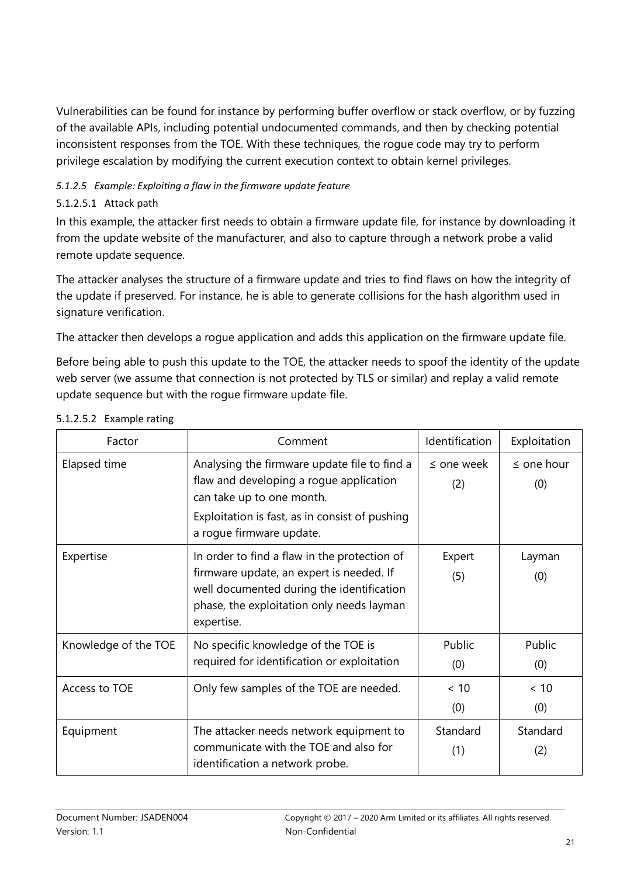Vulnerabilities can be found for instance by performing buffer overflow or stack overflow, or by fuzzing of the available APIs, including potential undocumented commands, and then by checking potential inconsistent responses from the TOE. With these techniques, the rogue code may try to perform privilege escalation by modifying the current execution context to obtain kernel privileges.

# *5.1.2.5 Example: Exploiting a flaw in the firmware update feature*

# 5.1.2.5.1 Attack path

In this example, the attacker first needs to obtain a firmware update file, for instance by downloading it from the update website of the manufacturer, and also to capture through a network probe a valid remote update sequence.

The attacker analyses the structure of a firmware update and tries to find flaws on how the integrity of the update if preserved. For instance, he is able to generate collisions for the hash algorithm used in signature verification.

The attacker then develops a rogue application and adds this application on the firmware update file.

Before being able to push this update to the TOE, the attacker needs to spoof the identity of the update web server (we assume that connection is not protected by TLS or similar) and replay a valid remote update sequence but with the rogue firmware update file.

| Factor               | Comment                                                                                                                                                                                            | Identification         | Exploitation          |
|----------------------|----------------------------------------------------------------------------------------------------------------------------------------------------------------------------------------------------|------------------------|-----------------------|
| Elapsed time         | Analysing the firmware update file to find a<br>flaw and developing a rogue application<br>can take up to one month.<br>Exploitation is fast, as in consist of pushing<br>a rogue firmware update. | $\leq$ one week<br>(2) | $\le$ one hour<br>(0) |
| Expertise            | In order to find a flaw in the protection of<br>firmware update, an expert is needed. If<br>well documented during the identification<br>phase, the exploitation only needs layman<br>expertise.   | Expert<br>(5)          | Layman<br>(0)         |
| Knowledge of the TOE | No specific knowledge of the TOE is<br>required for identification or exploitation                                                                                                                 | Public<br>(0)          | Public<br>(0)         |
| Access to TOE        | Only few samples of the TOE are needed.                                                                                                                                                            | < 10<br>(0)            | < 10<br>(0)           |
| Equipment            | The attacker needs network equipment to<br>communicate with the TOE and also for<br>identification a network probe.                                                                                | Standard<br>(1)        | Standard<br>(2)       |

# 5.1.2.5.2 Example rating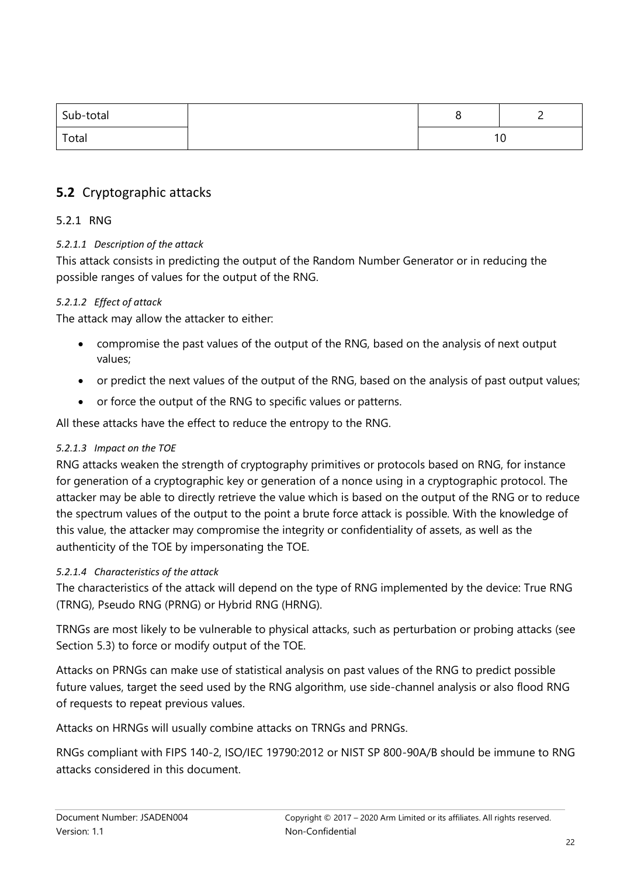| Sub-total |           |  |
|-----------|-----------|--|
| Total     | 1 C<br>ιv |  |

# **5.2** Cryptographic attacks

# <span id="page-21-0"></span>5.2.1 RNG

# *5.2.1.1 Description of the attack*

This attack consists in predicting the output of the Random Number Generator or in reducing the possible ranges of values for the output of the RNG.

## *5.2.1.2 Effect of attack*

The attack may allow the attacker to either:

- compromise the past values of the output of the RNG, based on the analysis of next output values;
- or predict the next values of the output of the RNG, based on the analysis of past output values;
- or force the output of the RNG to specific values or patterns.

All these attacks have the effect to reduce the entropy to the RNG.

## *5.2.1.3 Impact on the TOE*

RNG attacks weaken the strength of cryptography primitives or protocols based on RNG, for instance for generation of a cryptographic key or generation of a nonce using in a cryptographic protocol. The attacker may be able to directly retrieve the value which is based on the output of the RNG or to reduce the spectrum values of the output to the point a brute force attack is possible. With the knowledge of this value, the attacker may compromise the integrity or confidentiality of assets, as well as the authenticity of the TOE by impersonating the TOE.

## *5.2.1.4 Characteristics of the attack*

The characteristics of the attack will depend on the type of RNG implemented by the device: True RNG (TRNG), Pseudo RNG (PRNG) or Hybrid RNG (HRNG).

TRNGs are most likely to be vulnerable to physical attacks, such as perturbation or probing attacks (see Section [5.3\)](#page-24-0) to force or modify output of the TOE.

Attacks on PRNGs can make use of statistical analysis on past values of the RNG to predict possible future values, target the seed used by the RNG algorithm, use side-channel analysis or also flood RNG of requests to repeat previous values.

Attacks on HRNGs will usually combine attacks on TRNGs and PRNGs.

RNGs compliant with FIPS 140-2, ISO/IEC 19790:2012 or NIST SP 800-90A/B should be immune to RNG attacks considered in this document.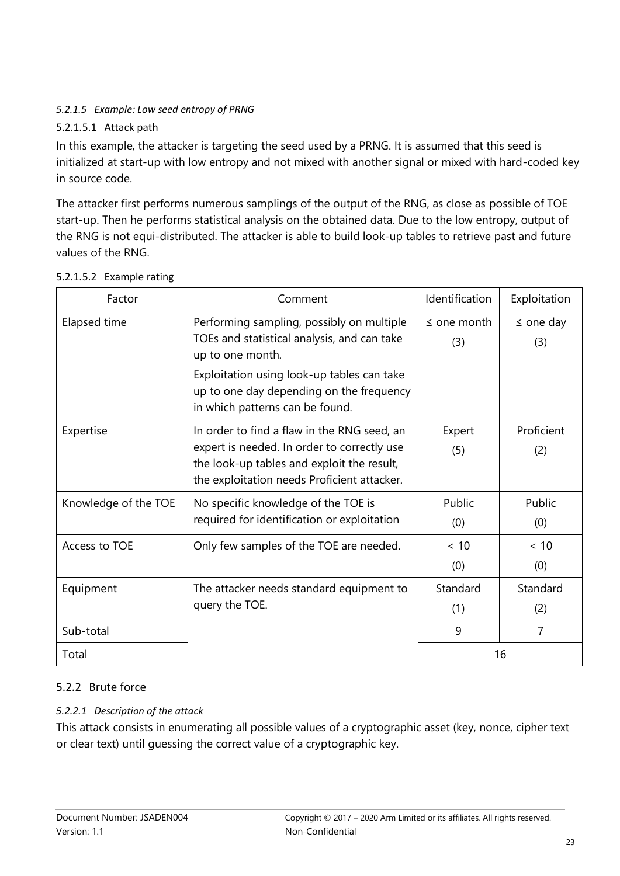*5.2.1.5 Example: Low seed entropy of PRNG*

5.2.1.5.1 Attack path

In this example, the attacker is targeting the seed used by a PRNG. It is assumed that this seed is initialized at start-up with low entropy and not mixed with another signal or mixed with hard-coded key in source code.

The attacker first performs numerous samplings of the output of the RNG, as close as possible of TOE start-up. Then he performs statistical analysis on the obtained data. Due to the low entropy, output of the RNG is not equi-distributed. The attacker is able to build look-up tables to retrieve past and future values of the RNG.

| Factor               | Comment                                                                                                                                                                                 | Identification          | Exploitation          |
|----------------------|-----------------------------------------------------------------------------------------------------------------------------------------------------------------------------------------|-------------------------|-----------------------|
| Elapsed time         | Performing sampling, possibly on multiple<br>TOEs and statistical analysis, and can take<br>up to one month.                                                                            | $\leq$ one month<br>(3) | $\leq$ one day<br>(3) |
|                      | Exploitation using look-up tables can take<br>up to one day depending on the frequency<br>in which patterns can be found.                                                               |                         |                       |
| Expertise            | In order to find a flaw in the RNG seed, an<br>expert is needed. In order to correctly use<br>the look-up tables and exploit the result,<br>the exploitation needs Proficient attacker. | Expert<br>(5)           | Proficient<br>(2)     |
| Knowledge of the TOE | No specific knowledge of the TOE is<br>required for identification or exploitation                                                                                                      | Public<br>(0)           | Public<br>(0)         |
| Access to TOE        | Only few samples of the TOE are needed.                                                                                                                                                 | < 10<br>(0)             | < 10<br>(0)           |
| Equipment            | The attacker needs standard equipment to<br>query the TOE.                                                                                                                              | Standard<br>(1)         | Standard<br>(2)       |
| Sub-total            |                                                                                                                                                                                         | 9                       | $\overline{7}$        |
| Total                |                                                                                                                                                                                         |                         | 16                    |

# 5.2.1.5.2 Example rating

# 5.2.2 Brute force

# *5.2.2.1 Description of the attack*

This attack consists in enumerating all possible values of a cryptographic asset (key, nonce, cipher text or clear text) until guessing the correct value of a cryptographic key.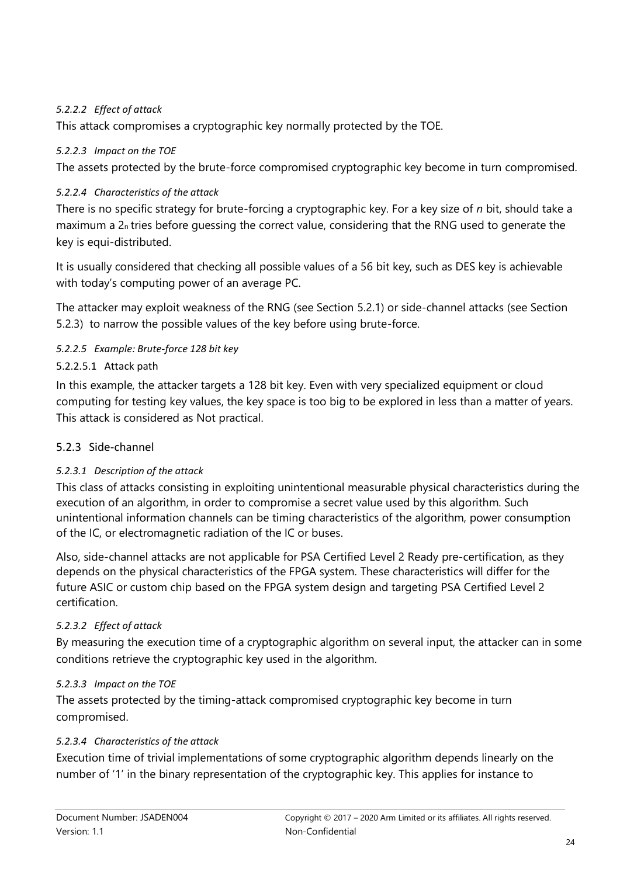# *5.2.2.2 Effect of attack*

This attack compromises a cryptographic key normally protected by the TOE.

## *5.2.2.3 Impact on the TOE*

The assets protected by the brute-force compromised cryptographic key become in turn compromised.

#### *5.2.2.4 Characteristics of the attack*

There is no specific strategy for brute-forcing a cryptographic key. For a key size of *n* bit, should take a maximum a 2n tries before guessing the correct value, considering that the RNG used to generate the key is equi-distributed.

It is usually considered that checking all possible values of a 56 bit key, such as DES key is achievable with today's computing power of an average PC.

The attacker may exploit weakness of the RNG (see Section [5.2.1\)](#page-21-0) or side-channel attacks (see Section [5.2.3\)](#page-23-0) to narrow the possible values of the key before using brute-force.

#### *5.2.2.5 Example: Brute-force 128 bit key*

## 5.2.2.5.1 Attack path

In this example, the attacker targets a 128 bit key. Even with very specialized equipment or cloud computing for testing key values, the key space is too big to be explored in less than a matter of years. This attack is considered as Not practical.

## <span id="page-23-0"></span>5.2.3 Side-channel

## *5.2.3.1 Description of the attack*

This class of attacks consisting in exploiting unintentional measurable physical characteristics during the execution of an algorithm, in order to compromise a secret value used by this algorithm. Such unintentional information channels can be timing characteristics of the algorithm, power consumption of the IC, or electromagnetic radiation of the IC or buses.

Also, side-channel attacks are not applicable for PSA Certified Level 2 Ready pre-certification, as they depends on the physical characteristics of the FPGA system. These characteristics will differ for the future ASIC or custom chip based on the FPGA system design and targeting PSA Certified Level 2 certification.

## *5.2.3.2 Effect of attack*

By measuring the execution time of a cryptographic algorithm on several input, the attacker can in some conditions retrieve the cryptographic key used in the algorithm.

#### *5.2.3.3 Impact on the TOE*

The assets protected by the timing-attack compromised cryptographic key become in turn compromised.

## *5.2.3.4 Characteristics of the attack*

Execution time of trivial implementations of some cryptographic algorithm depends linearly on the number of '1' in the binary representation of the cryptographic key. This applies for instance to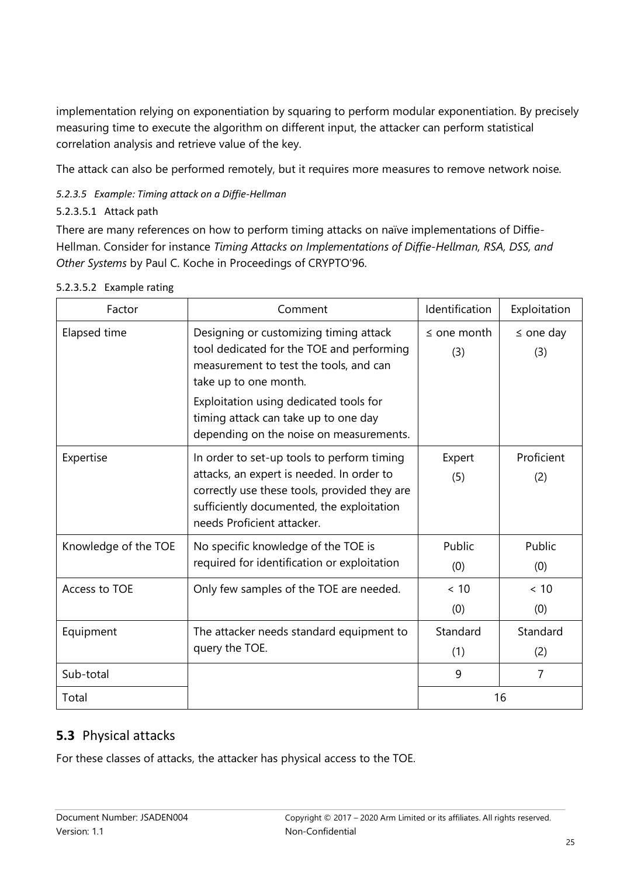implementation relying on exponentiation by squaring to perform modular exponentiation. By precisely measuring time to execute the algorithm on different input, the attacker can perform statistical correlation analysis and retrieve value of the key.

The attack can also be performed remotely, but it requires more measures to remove network noise.

# *5.2.3.5 Example: Timing attack on a Diffie-Hellman*

# 5.2.3.5.1 Attack path

There are many references on how to perform timing attacks on naïve implementations of Diffie-Hellman. Consider for instance *Timing Attacks on Implementations of Diffie-Hellman, RSA, DSS, and Other Systems* by Paul C. Koche in Proceedings of CRYPTO'96.

| Factor               | Comment                                                                                                                                                                                                                                                                             | Identification          | Exploitation         |
|----------------------|-------------------------------------------------------------------------------------------------------------------------------------------------------------------------------------------------------------------------------------------------------------------------------------|-------------------------|----------------------|
| Elapsed time         | Designing or customizing timing attack<br>tool dedicated for the TOE and performing<br>measurement to test the tools, and can<br>take up to one month.<br>Exploitation using dedicated tools for<br>timing attack can take up to one day<br>depending on the noise on measurements. | $\leq$ one month<br>(3) | $\le$ one day<br>(3) |
| Expertise            | In order to set-up tools to perform timing<br>attacks, an expert is needed. In order to<br>correctly use these tools, provided they are<br>sufficiently documented, the exploitation<br>needs Proficient attacker.                                                                  | Expert<br>(5)           | Proficient<br>(2)    |
| Knowledge of the TOE | No specific knowledge of the TOE is<br>required for identification or exploitation                                                                                                                                                                                                  | Public<br>(0)           | Public<br>(0)        |
| Access to TOE        | Only few samples of the TOE are needed.                                                                                                                                                                                                                                             | < 10<br>(0)             | < 10<br>(0)          |
| Equipment            | The attacker needs standard equipment to<br>query the TOE.                                                                                                                                                                                                                          | Standard<br>(1)         | Standard<br>(2)      |
| Sub-total            |                                                                                                                                                                                                                                                                                     | 9                       | $\overline{7}$       |
| Total                |                                                                                                                                                                                                                                                                                     |                         | 16                   |

# <span id="page-24-0"></span>**5.3** Physical attacks

For these classes of attacks, the attacker has physical access to the TOE.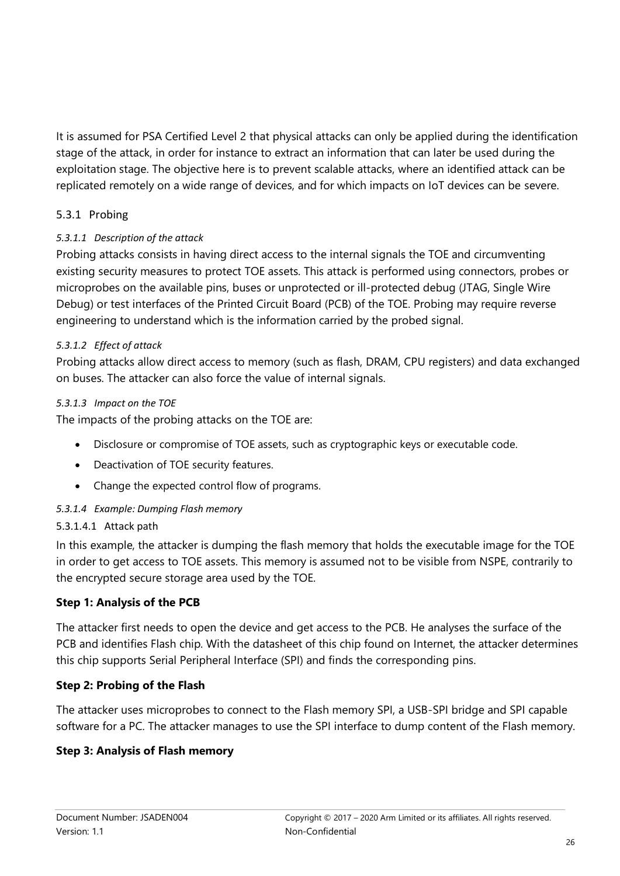It is assumed for PSA Certified Level 2 that physical attacks can only be applied during the identification stage of the attack, in order for instance to extract an information that can later be used during the exploitation stage. The objective here is to prevent scalable attacks, where an identified attack can be replicated remotely on a wide range of devices, and for which impacts on IoT devices can be severe.

# 5.3.1 Probing

# *5.3.1.1 Description of the attack*

Probing attacks consists in having direct access to the internal signals the TOE and circumventing existing security measures to protect TOE assets. This attack is performed using connectors, probes or microprobes on the available pins, buses or unprotected or ill-protected debug (JTAG, Single Wire Debug) or test interfaces of the Printed Circuit Board (PCB) of the TOE. Probing may require reverse engineering to understand which is the information carried by the probed signal.

# *5.3.1.2 Effect of attack*

Probing attacks allow direct access to memory (such as flash, DRAM, CPU registers) and data exchanged on buses. The attacker can also force the value of internal signals.

## *5.3.1.3 Impact on the TOE*

The impacts of the probing attacks on the TOE are:

- Disclosure or compromise of TOE assets, such as cryptographic keys or executable code.
- Deactivation of TOE security features.
- Change the expected control flow of programs.

## *5.3.1.4 Example: Dumping Flash memory*

## 5.3.1.4.1 Attack path

In this example, the attacker is dumping the flash memory that holds the executable image for the TOE in order to get access to TOE assets. This memory is assumed not to be visible from NSPE, contrarily to the encrypted secure storage area used by the TOE.

## **Step 1: Analysis of the PCB**

The attacker first needs to open the device and get access to the PCB. He analyses the surface of the PCB and identifies Flash chip. With the datasheet of this chip found on Internet, the attacker determines this chip supports Serial Peripheral Interface (SPI) and finds the corresponding pins.

## **Step 2: Probing of the Flash**

The attacker uses microprobes to connect to the Flash memory SPI, a USB-SPI bridge and SPI capable software for a PC. The attacker manages to use the SPI interface to dump content of the Flash memory.

## **Step 3: Analysis of Flash memory**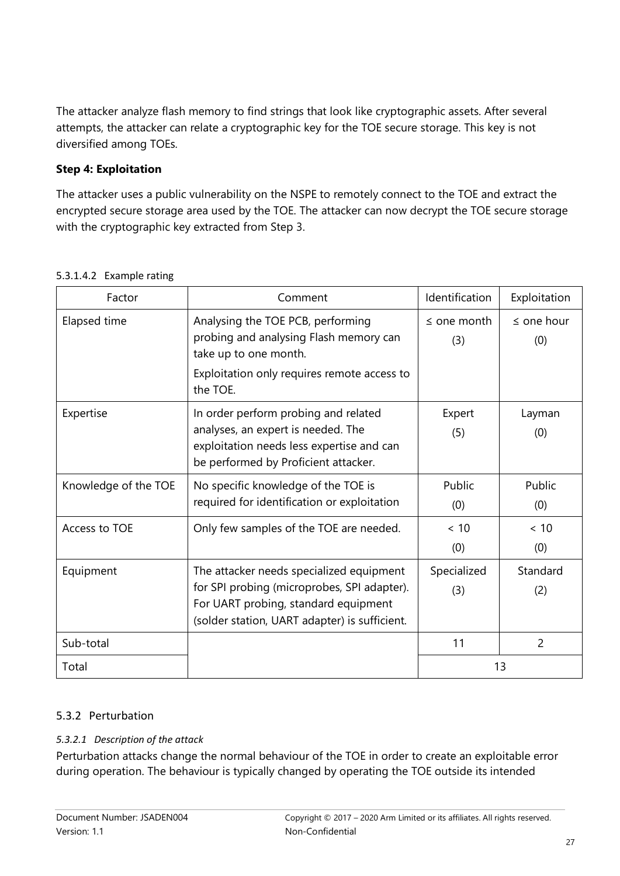The attacker analyze flash memory to find strings that look like cryptographic assets. After several attempts, the attacker can relate a cryptographic key for the TOE secure storage. This key is not diversified among TOEs.

# **Step 4: Exploitation**

The attacker uses a public vulnerability on the NSPE to remotely connect to the TOE and extract the encrypted secure storage area used by the TOE. The attacker can now decrypt the TOE secure storage with the cryptographic key extracted from Step 3.

| Factor               | Comment                                                                                                                                                                          | Identification          | Exploitation          |
|----------------------|----------------------------------------------------------------------------------------------------------------------------------------------------------------------------------|-------------------------|-----------------------|
| Elapsed time         | Analysing the TOE PCB, performing<br>probing and analysing Flash memory can<br>take up to one month.<br>Exploitation only requires remote access to<br>the TOE.                  | $\leq$ one month<br>(3) | $\le$ one hour<br>(0) |
| Expertise            | In order perform probing and related<br>analyses, an expert is needed. The<br>exploitation needs less expertise and can<br>be performed by Proficient attacker.                  | Expert<br>(5)           | Layman<br>(0)         |
| Knowledge of the TOE | No specific knowledge of the TOE is<br>required for identification or exploitation                                                                                               | Public<br>(0)           | Public<br>(0)         |
| Access to TOE        | Only few samples of the TOE are needed.                                                                                                                                          | < 10<br>(0)             | < 10<br>(0)           |
| Equipment            | The attacker needs specialized equipment<br>for SPI probing (microprobes, SPI adapter).<br>For UART probing, standard equipment<br>(solder station, UART adapter) is sufficient. | Specialized<br>(3)      | Standard<br>(2)       |
| Sub-total            |                                                                                                                                                                                  | 11                      | $\overline{2}$        |
| Total                |                                                                                                                                                                                  | 13                      |                       |

# 5.3.2 Perturbation

# *5.3.2.1 Description of the attack*

Perturbation attacks change the normal behaviour of the TOE in order to create an exploitable error during operation. The behaviour is typically changed by operating the TOE outside its intended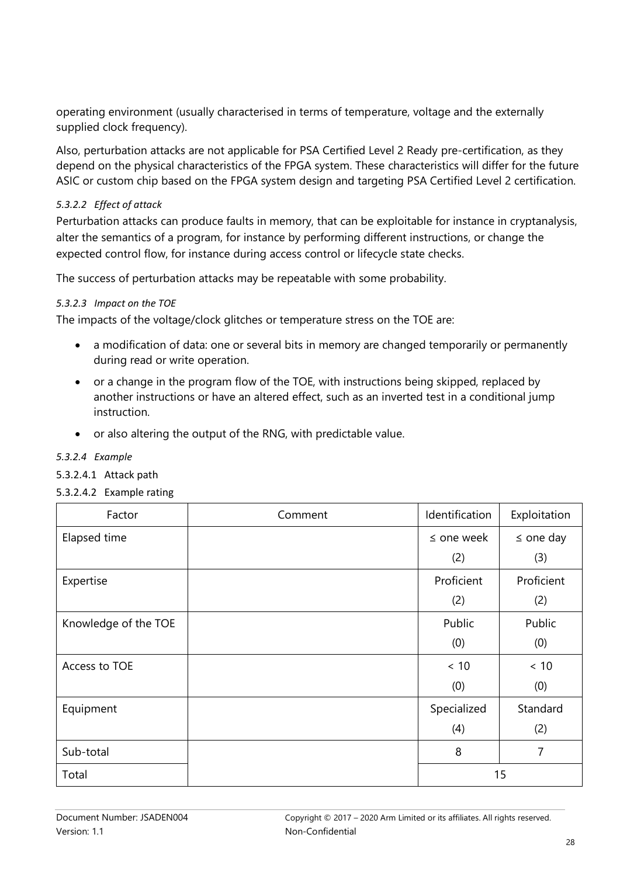operating environment (usually characterised in terms of temperature, voltage and the externally supplied clock frequency).

Also, perturbation attacks are not applicable for PSA Certified Level 2 Ready pre-certification, as they depend on the physical characteristics of the FPGA system. These characteristics will differ for the future ASIC or custom chip based on the FPGA system design and targeting PSA Certified Level 2 certification.

## *5.3.2.2 Effect of attack*

Perturbation attacks can produce faults in memory, that can be exploitable for instance in cryptanalysis, alter the semantics of a program, for instance by performing different instructions, or change the expected control flow, for instance during access control or lifecycle state checks.

The success of perturbation attacks may be repeatable with some probability.

## *5.3.2.3 Impact on the TOE*

The impacts of the voltage/clock glitches or temperature stress on the TOE are:

- a modification of data: one or several bits in memory are changed temporarily or permanently during read or write operation.
- or a change in the program flow of the TOE, with instructions being skipped, replaced by another instructions or have an altered effect, such as an inverted test in a conditional jump instruction.
- or also altering the output of the RNG, with predictable value.

## *5.3.2.4 Example*

## 5.3.2.4.1 Attack path

5.3.2.4.2 Example rating

| Factor               | Comment | Identification  | Exploitation   |
|----------------------|---------|-----------------|----------------|
| Elapsed time         |         | $\leq$ one week | $\le$ one day  |
|                      |         | (2)             | (3)            |
| Expertise            |         | Proficient      | Proficient     |
|                      |         | (2)             | (2)            |
| Knowledge of the TOE |         | Public          | Public         |
|                      |         | (0)             | (0)            |
| Access to TOE        |         | $< 10$          | $< 10$         |
|                      |         | (0)             | (0)            |
| Equipment            |         | Specialized     | Standard       |
|                      |         | (4)             | (2)            |
| Sub-total            |         | 8               | $\overline{7}$ |
| Total                |         |                 | 15             |